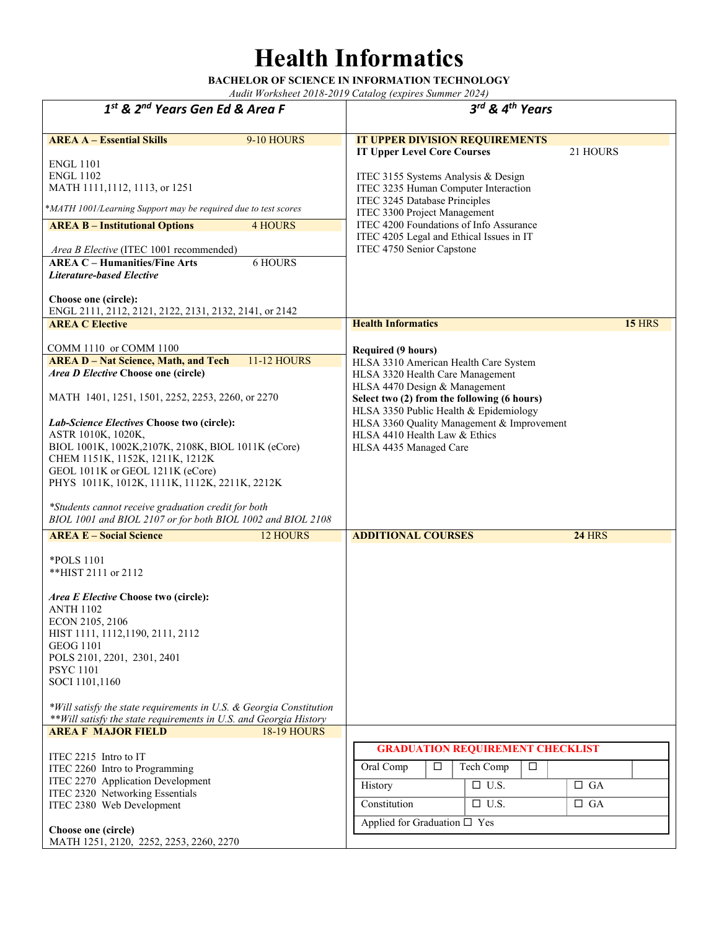#### **Health Informatics**

**BACHELOR OF SCIENCE IN INFORMATION TECHNOLOGY**  *Audit Worksheet 2018-2019 Catalog (expires Summer 2024)* 

*1st & 2nd Years Gen Ed & Area F 3rd & 4th Years* **AREA A – Essential Skills** 9-10 HOURS ENGL 1101 ENGL 1102 MATH 1111,1112, 1113, or 1251 **IT UPPER DIVISION REQUIREMENTS IT Upper Level Core Courses** 21 HOURS ITEC 3155 Systems Analysis & Design ITEC 3235 Human Computer Interaction ITEC 3245 Database Principles ITEC 3300 Project Management ITEC 4200 Foundations of Info Assurance ITEC 4205 Legal and Ethical Issues in IT ITEC 4750 Senior Capstone **AREA B – Institutional Options** 4 HOURS *Area B Elective* (ITEC 1001 recommended) **AREA C – Humanities/Fine Arts** 6 HOURS *Literature-based Elective* **Choose one (circle):**  ENGL 2111, 2112, 2121, 2122, 2131, 2132, 2141, or 2142 **AREA C Elective** COMM 1110 or COMM 1100 **Health Informatics 15** HRS **Required (9 hours)** HLSA 3310 American Health Care System HLSA 3320 Health Care Management HLSA 4470 Design & Management **Select two (2) from the following (6 hours)** HLSA 3350 Public Health & Epidemiology HLSA 3360 Quality Management & Improvement HLSA 4410 Health Law & Ethics HLSA 4435 Managed Care **AREA D – Nat Science, Math, and Tech** 11-12 HOURS *Area D Elective* **Choose one (circle)**  MATH 1401, 1251, 1501, 2252, 2253, 2260, or 2270 *Lab-Science Electives* **Choose two (circle):**  ASTR 1010K, 1020K, BIOL 1001K, 1002K,2107K, 2108K, BIOL 1011K (eCore) CHEM 1151K, 1152K, 1211K, 1212K GEOL 1011K or GEOL 1211K (eCore) PHYS 1011K, 1012K, 1111K, 1112K, 2211K, 2212K *\*Students cannot receive graduation credit for both BIOL 1001 and BIOL 2107 or for both BIOL 1002 and BIOL 2108* **AREA E – Social Science** 12 HOURS \*POLS 1101 \*\*HIST 2111 or 2112 *Area E Elective* **Choose two (circle):** ANTH 1102 ECON 2105, 2106 HIST 1111, 1112,1190, 2111, 2112 GEOG 1101 POLS 2101, 2201, 2301, 2401 PSYC 1101 SOCI 1101,1160 *\*Will satisfy the state requirements in U.S. & Georgia Constitution \*\*Will satisfy the state requirements in U.S. and Georgia History* **ADDITIONAL COURSES 24** HRS **AREA F MAJOR FIELD** 18-19 HOURS ITEC 2215 Intro to IT ITEC 2260 Intro to Programming ITEC 2270 Application Development ITEC 2320 Networking Essentials ITEC 2380 Web Development **Choose one (circle)**  MATH 1251, 2120, 2252, 2253, 2260, 2270  **GRADUATION REQUIREMENT CHECKLIST** Oral Comp  $\Box$  Tech Comp  $\Box$ History  $\Box$  U.S.  $\Box$  GA Constitution  $\Box$  U.S.  $\Box$  GA Applied for Graduation  $\square$  Yes \**MATH 1001/Learning Support may be required due to test scores*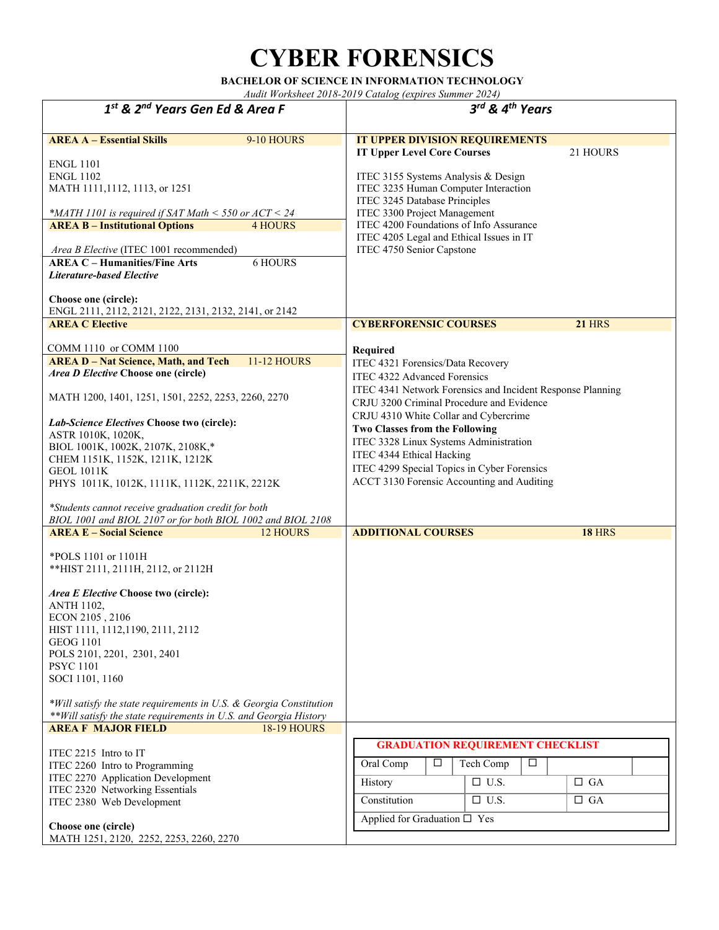# **CYBER FORENSICS**

**BACHELOR OF SCIENCE IN INFORMATION TECHNOLOGY** 

| 1st & 2 <sup>nd</sup> Years Gen Ed & Area F                                                                                                                                                                                                                                                                                                                                                                                                                                                                                       | 3rd & 4 <sup>th</sup> Years                                                                                                                                                                                                                                                                                                                                                                                                             |
|-----------------------------------------------------------------------------------------------------------------------------------------------------------------------------------------------------------------------------------------------------------------------------------------------------------------------------------------------------------------------------------------------------------------------------------------------------------------------------------------------------------------------------------|-----------------------------------------------------------------------------------------------------------------------------------------------------------------------------------------------------------------------------------------------------------------------------------------------------------------------------------------------------------------------------------------------------------------------------------------|
|                                                                                                                                                                                                                                                                                                                                                                                                                                                                                                                                   |                                                                                                                                                                                                                                                                                                                                                                                                                                         |
| <b>AREA A - Essential Skills</b><br>9-10 HOURS<br><b>ENGL 1101</b><br><b>ENGL 1102</b><br>MATH 1111, 1112, 1113, or 1251<br>*MATH 1101 is required if SAT Math $\le$ 550 or ACT $\le$ 24<br><b>AREA B - Institutional Options</b><br><b>4 HOURS</b><br>Area B Elective (ITEC 1001 recommended)<br><b>AREA C - Humanities/Fine Arts</b><br><b>6 HOURS</b><br><b>Literature-based Elective</b><br>Choose one (circle):                                                                                                              | <b>IT UPPER DIVISION REQUIREMENTS</b><br><b>IT Upper Level Core Courses</b><br>21 HOURS<br>ITEC 3155 Systems Analysis & Design<br>ITEC 3235 Human Computer Interaction<br>ITEC 3245 Database Principles<br>ITEC 3300 Project Management<br>ITEC 4200 Foundations of Info Assurance<br>ITEC 4205 Legal and Ethical Issues in IT<br>ITEC 4750 Senior Capstone                                                                             |
| ENGL 2111, 2112, 2121, 2122, 2131, 2132, 2141, or 2142                                                                                                                                                                                                                                                                                                                                                                                                                                                                            |                                                                                                                                                                                                                                                                                                                                                                                                                                         |
| <b>AREA C Elective</b>                                                                                                                                                                                                                                                                                                                                                                                                                                                                                                            | <b>21 HRS</b><br><b>CYBERFORENSIC COURSES</b>                                                                                                                                                                                                                                                                                                                                                                                           |
| COMM 1110 or COMM 1100<br><b>AREA D - Nat Science, Math, and Tech</b><br><b>11-12 HOURS</b><br>Area D Elective Choose one (circle)<br>MATH 1200, 1401, 1251, 1501, 2252, 2253, 2260, 2270<br>Lab-Science Electives Choose two (circle):<br>ASTR 1010K, 1020K,<br>BIOL 1001K, 1002K, 2107K, 2108K,*<br>CHEM 1151K, 1152K, 1211K, 1212K<br><b>GEOL 1011K</b><br>PHYS 1011K, 1012K, 1111K, 1112K, 2211K, 2212K<br>*Students cannot receive graduation credit for both<br>BIOL 1001 and BIOL 2107 or for both BIOL 1002 and BIOL 2108 | Required<br>ITEC 4321 Forensics/Data Recovery<br>ITEC 4322 Advanced Forensics<br>ITEC 4341 Network Forensics and Incident Response Planning<br>CRJU 3200 Criminal Procedure and Evidence<br>CRJU 4310 White Collar and Cybercrime<br>Two Classes from the Following<br>ITEC 3328 Linux Systems Administration<br>ITEC 4344 Ethical Hacking<br>ITEC 4299 Special Topics in Cyber Forensics<br>ACCT 3130 Forensic Accounting and Auditing |
| <b>AREA E - Social Science</b><br>12 HOURS                                                                                                                                                                                                                                                                                                                                                                                                                                                                                        | <b>ADDITIONAL COURSES</b><br><b>18 HRS</b>                                                                                                                                                                                                                                                                                                                                                                                              |
| *POLS 1101 or 1101H<br>** HIST 2111, 2111H, 2112, or 2112H<br>Area E Elective Choose two (circle):<br><b>ANTH 1102,</b><br>ECON 2105, 2106<br>HIST 1111, 1112, 1190, 2111, 2112<br><b>GEOG 1101</b><br>POLS 2101, 2201, 2301, 2401<br><b>PSYC 1101</b><br>SOCI 1101, 1160                                                                                                                                                                                                                                                         |                                                                                                                                                                                                                                                                                                                                                                                                                                         |
| *Will satisfy the state requirements in U.S. & Georgia Constitution<br>** Will satisfy the state requirements in U.S. and Georgia History<br><b>AREA F MAJOR FIELD</b><br><b>18-19 HOURS</b>                                                                                                                                                                                                                                                                                                                                      |                                                                                                                                                                                                                                                                                                                                                                                                                                         |
| ITEC 2215 Intro to IT<br>ITEC 2260 Intro to Programming<br>ITEC 2270 Application Development<br>ITEC 2320 Networking Essentials<br>ITEC 2380 Web Development<br>Choose one (circle)<br>MATH 1251, 2120, 2252, 2253, 2260, 2270                                                                                                                                                                                                                                                                                                    | <b>GRADUATION REQUIREMENT CHECKLIST</b><br>Oral Comp<br>□<br>Tech Comp<br>□<br>$\Box$ U.S.<br>$\Box$ GA<br>History<br>Constitution<br>$\Box$ U.S.<br>$\Box$ GA<br>Applied for Graduation $\square$ Yes                                                                                                                                                                                                                                  |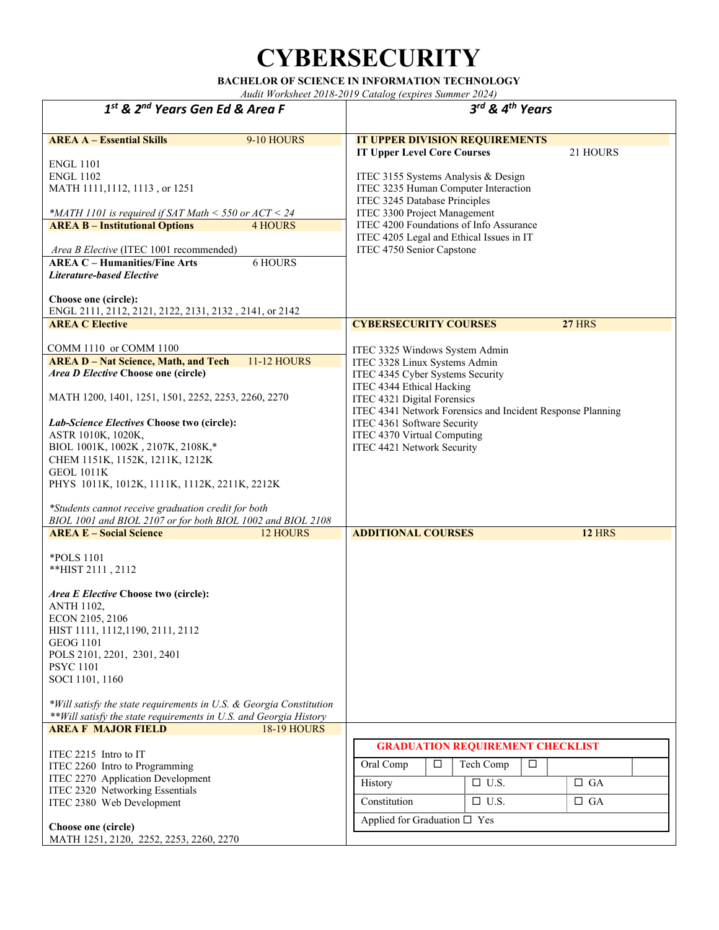#### **CYBERSECURITY**

**BACHELOR OF SCIENCE IN INFORMATION TECHNOLOGY** 

| $1st$ & $2nd$ Years Gen Ed & Area F                                                                                                                                                                                                                                                                                                                                                                                                                                                                                               | 3rd & 4th Years                                                                                                                                                                                                                                                                                                           |
|-----------------------------------------------------------------------------------------------------------------------------------------------------------------------------------------------------------------------------------------------------------------------------------------------------------------------------------------------------------------------------------------------------------------------------------------------------------------------------------------------------------------------------------|---------------------------------------------------------------------------------------------------------------------------------------------------------------------------------------------------------------------------------------------------------------------------------------------------------------------------|
|                                                                                                                                                                                                                                                                                                                                                                                                                                                                                                                                   |                                                                                                                                                                                                                                                                                                                           |
| <b>AREA A - Essential Skills</b><br>9-10 HOURS<br><b>ENGL 1101</b><br><b>ENGL 1102</b><br>MATH 1111, 1112, 1113, or 1251                                                                                                                                                                                                                                                                                                                                                                                                          | IT UPPER DIVISION REQUIREMENTS<br><b>IT Upper Level Core Courses</b><br>21 HOURS<br>ITEC 3155 Systems Analysis & Design<br>ITEC 3235 Human Computer Interaction<br>ITEC 3245 Database Principles                                                                                                                          |
| *MATH 1101 is required if SAT Math $<$ 550 or ACT $<$ 24<br><b>4 HOURS</b><br><b>AREA B - Institutional Options</b><br>Area B Elective (ITEC 1001 recommended)<br><b>AREA C - Humanities/Fine Arts</b><br><b>6 HOURS</b><br><b>Literature-based Elective</b><br>Choose one (circle):<br>ENGL 2111, 2112, 2121, 2122, 2131, 2132, 2141, or 2142                                                                                                                                                                                    | ITEC 3300 Project Management<br>ITEC 4200 Foundations of Info Assurance<br>ITEC 4205 Legal and Ethical Issues in IT<br>ITEC 4750 Senior Capstone                                                                                                                                                                          |
| <b>AREA C Elective</b>                                                                                                                                                                                                                                                                                                                                                                                                                                                                                                            | <b>27 HRS</b><br><b>CYBERSECURITY COURSES</b>                                                                                                                                                                                                                                                                             |
| COMM 1110 or COMM 1100<br><b>AREA D - Nat Science, Math, and Tech</b><br><b>11-12 HOURS</b><br>Area D Elective Choose one (circle)<br>MATH 1200, 1401, 1251, 1501, 2252, 2253, 2260, 2270<br>Lab-Science Electives Choose two (circle):<br>ASTR 1010K, 1020K,<br>BIOL 1001K, 1002K, 2107K, 2108K,*<br>CHEM 1151K, 1152K, 1211K, 1212K<br><b>GEOL 1011K</b><br>PHYS 1011K, 1012K, 1111K, 1112K, 2211K, 2212K<br>*Students cannot receive graduation credit for both<br>BIOL 1001 and BIOL 2107 or for both BIOL 1002 and BIOL 2108 | ITEC 3325 Windows System Admin<br>ITEC 3328 Linux Systems Admin<br>ITEC 4345 Cyber Systems Security<br>ITEC 4344 Ethical Hacking<br>ITEC 4321 Digital Forensics<br>ITEC 4341 Network Forensics and Incident Response Planning<br>ITEC 4361 Software Security<br>ITEC 4370 Virtual Computing<br>ITEC 4421 Network Security |
| <b>AREA E - Social Science</b><br><b>12 HOURS</b>                                                                                                                                                                                                                                                                                                                                                                                                                                                                                 | <b>ADDITIONAL COURSES</b><br><b>12 HRS</b>                                                                                                                                                                                                                                                                                |
| *POLS 1101<br>**HIST 2111, 2112<br>Area E Elective Choose two (circle):<br><b>ANTH 1102,</b><br>ECON 2105, 2106<br>HIST 1111, 1112, 1190, 2111, 2112<br><b>GEOG 1101</b><br>POLS 2101, 2201, 2301, 2401<br><b>PSYC 1101</b><br>SOCI 1101, 1160                                                                                                                                                                                                                                                                                    |                                                                                                                                                                                                                                                                                                                           |
| *Will satisfy the state requirements in U.S. & Georgia Constitution<br>** Will satisfy the state requirements in U.S. and Georgia History                                                                                                                                                                                                                                                                                                                                                                                         |                                                                                                                                                                                                                                                                                                                           |
| <b>AREA F MAJOR FIELD</b><br><b>18-19 HOURS</b><br>ITEC 2215 Intro to IT<br>ITEC 2260 Intro to Programming<br>ITEC 2270 Application Development<br>ITEC 2320 Networking Essentials<br>ITEC 2380 Web Development<br>Choose one (circle)<br>MATH 1251, 2120, 2252, 2253, 2260, 2270                                                                                                                                                                                                                                                 | <b>GRADUATION REQUIREMENT CHECKLIST</b><br>Oral Comp<br>$\Box$<br>Tech Comp<br>$\Box$<br>$\Box$ U.S.<br>$\Box$ GA<br>History<br>Constitution<br>$\Box$ U.S.<br>$\Box$ GA<br>Applied for Graduation □ Yes                                                                                                                  |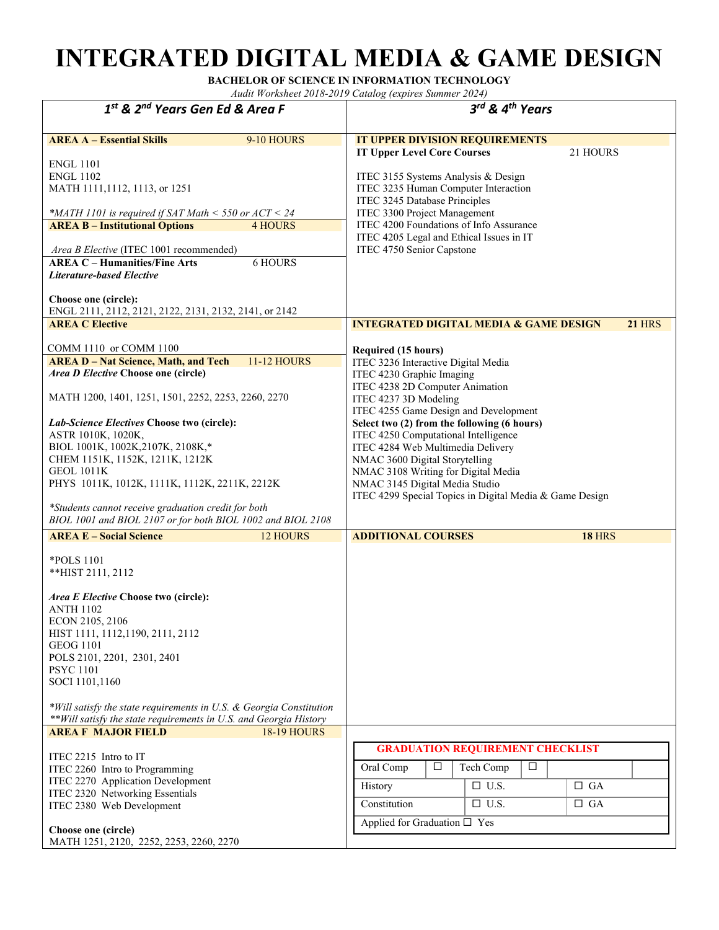# **INTEGRATED DIGITAL MEDIA & GAME DESIGN**

**BACHELOR OF SCIENCE IN INFORMATION TECHNOLOGY** 

| 1st & 2 <sup>nd</sup> Years Gen Ed & Area F                                                                                                                                                                                                                                                                                                                                                                                                                                                                 |                                                |                                                                                                                                                                                                                                                                                                                                                                                                                                                                                                       | 3rd & 4th Years                                                                              |                        |
|-------------------------------------------------------------------------------------------------------------------------------------------------------------------------------------------------------------------------------------------------------------------------------------------------------------------------------------------------------------------------------------------------------------------------------------------------------------------------------------------------------------|------------------------------------------------|-------------------------------------------------------------------------------------------------------------------------------------------------------------------------------------------------------------------------------------------------------------------------------------------------------------------------------------------------------------------------------------------------------------------------------------------------------------------------------------------------------|----------------------------------------------------------------------------------------------|------------------------|
| <b>AREA A - Essential Skills</b><br><b>ENGL 1101</b><br><b>ENGL 1102</b><br>MATH 1111,1112, 1113, or 1251<br>*MATH 1101 is required if SAT Math $<$ 550 or ACT $<$ 24<br><b>AREA B - Institutional Options</b><br>Area B Elective (ITEC 1001 recommended)<br><b>AREA C - Humanities/Fine Arts</b><br><b>Literature-based Elective</b><br>Choose one (circle):<br>ENGL 2111, 2112, 2121, 2122, 2131, 2132, 2141, or 2142                                                                                     | 9-10 HOURS<br><b>4 HOURS</b><br><b>6 HOURS</b> | IT UPPER DIVISION REQUIREMENTS<br><b>IT Upper Level Core Courses</b><br>ITEC 3155 Systems Analysis & Design<br>ITEC 3235 Human Computer Interaction<br>ITEC 3245 Database Principles<br>ITEC 3300 Project Management<br>ITEC 4200 Foundations of Info Assurance<br>ITEC 4205 Legal and Ethical Issues in IT<br>ITEC 4750 Senior Capstone                                                                                                                                                              |                                                                                              | 21 HOURS               |
| <b>AREA C Elective</b>                                                                                                                                                                                                                                                                                                                                                                                                                                                                                      |                                                | <b>INTEGRATED DIGITAL MEDIA &amp; GAME DESIGN</b>                                                                                                                                                                                                                                                                                                                                                                                                                                                     |                                                                                              | <b>21 HRS</b>          |
| COMM 1110 or COMM 1100<br><b>AREA D - Nat Science, Math, and Tech</b><br>Area D Elective Choose one (circle)<br>MATH 1200, 1401, 1251, 1501, 2252, 2253, 2260, 2270<br>Lab-Science Electives Choose two (circle):<br>ASTR 1010K, 1020K,<br>BIOL 1001K, 1002K, 2107K, 2108K,*<br>CHEM 1151K, 1152K, 1211K, 1212K<br><b>GEOL 1011K</b><br>PHYS 1011K, 1012K, 1111K, 1112K, 2211K, 2212K<br>*Students cannot receive graduation credit for both<br>BIOL 1001 and BIOL 2107 or for both BIOL 1002 and BIOL 2108 | <b>11-12 HOURS</b>                             | <b>Required (15 hours)</b><br>ITEC 3236 Interactive Digital Media<br>ITEC 4230 Graphic Imaging<br>ITEC 4238 2D Computer Animation<br>ITEC 4237 3D Modeling<br>ITEC 4255 Game Design and Development<br>Select two (2) from the following (6 hours)<br>ITEC 4250 Computational Intelligence<br>ITEC 4284 Web Multimedia Delivery<br>NMAC 3600 Digital Storytelling<br>NMAC 3108 Writing for Digital Media<br>NMAC 3145 Digital Media Studio<br>ITEC 4299 Special Topics in Digital Media & Game Design |                                                                                              |                        |
| <b>AREA E - Social Science</b>                                                                                                                                                                                                                                                                                                                                                                                                                                                                              | <b>12 HOURS</b>                                | <b>ADDITIONAL COURSES</b>                                                                                                                                                                                                                                                                                                                                                                                                                                                                             |                                                                                              | <b>18 HRS</b>          |
| <i>*POLS</i> 1101<br>**HIST 2111, 2112<br>Area E Elective Choose two (circle):<br><b>ANTH 1102</b><br>ECON 2105, 2106<br>HIST 1111, 1112, 1190, 2111, 2112<br><b>GEOG 1101</b><br>POLS 2101, 2201, 2301, 2401<br><b>PSYC 1101</b><br>SOCI 1101,1160<br>*Will satisfy the state requirements in U.S. & Georgia Constitution                                                                                                                                                                                  |                                                |                                                                                                                                                                                                                                                                                                                                                                                                                                                                                                       |                                                                                              |                        |
| ** Will satisfy the state requirements in U.S. and Georgia History<br><b>AREA F MAJOR FIELD</b>                                                                                                                                                                                                                                                                                                                                                                                                             | <b>18-19 HOURS</b>                             |                                                                                                                                                                                                                                                                                                                                                                                                                                                                                                       |                                                                                              |                        |
| ITEC 2215 Intro to IT<br>ITEC 2260 Intro to Programming<br>ITEC 2270 Application Development<br>ITEC 2320 Networking Essentials<br>ITEC 2380 Web Development<br>Choose one (circle)                                                                                                                                                                                                                                                                                                                         |                                                | Oral Comp<br>$\Box$<br>History<br>Constitution<br>Applied for Graduation $\square$ Yes                                                                                                                                                                                                                                                                                                                                                                                                                | <b>GRADUATION REQUIREMENT CHECKLIST</b><br>Tech Comp<br>$\Box$<br>$\Box$ U.S.<br>$\Box$ U.S. | $\Box$ GA<br>$\Box$ GA |
| MATH 1251, 2120, 2252, 2253, 2260, 2270                                                                                                                                                                                                                                                                                                                                                                                                                                                                     |                                                |                                                                                                                                                                                                                                                                                                                                                                                                                                                                                                       |                                                                                              |                        |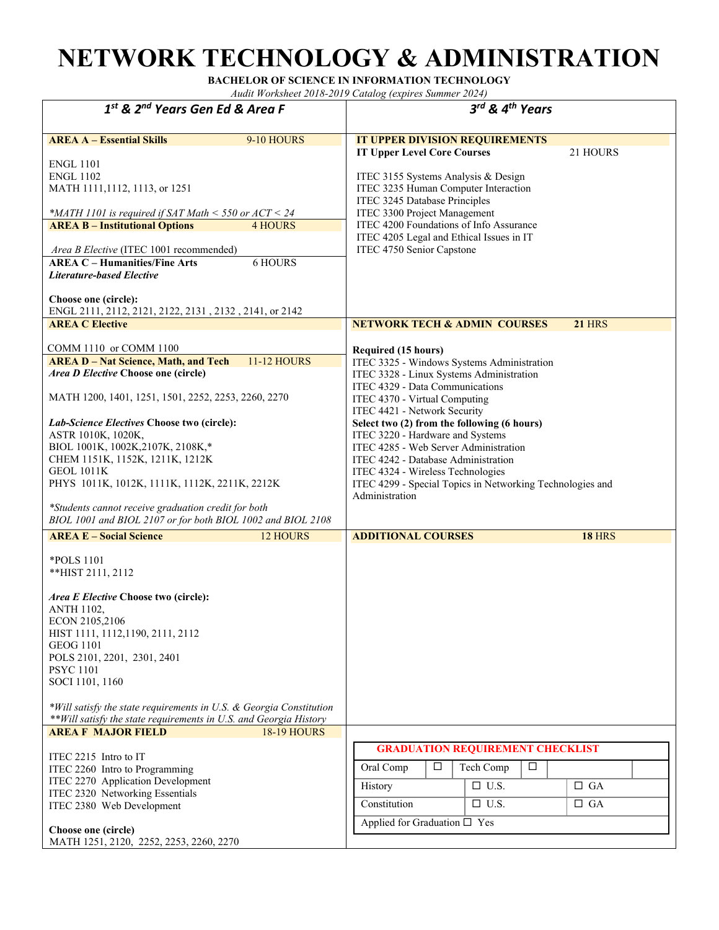### **NETWORK TECHNOLOGY & ADMINISTRATION**

**BACHELOR OF SCIENCE IN INFORMATION TECHNOLOGY** 

| 1st & 2 <sup>nd</sup> Years Gen Ed & Area F                                                                                                                                                                                                                                                                                                                                                                                                                                                                                       | $3^{rd}$ & 4 <sup>th</sup> Years                                                                                                                                                                                                                                                                                                                                                                                                                                                                         |
|-----------------------------------------------------------------------------------------------------------------------------------------------------------------------------------------------------------------------------------------------------------------------------------------------------------------------------------------------------------------------------------------------------------------------------------------------------------------------------------------------------------------------------------|----------------------------------------------------------------------------------------------------------------------------------------------------------------------------------------------------------------------------------------------------------------------------------------------------------------------------------------------------------------------------------------------------------------------------------------------------------------------------------------------------------|
|                                                                                                                                                                                                                                                                                                                                                                                                                                                                                                                                   |                                                                                                                                                                                                                                                                                                                                                                                                                                                                                                          |
| <b>AREA A - Essential Skills</b><br>9-10 HOURS<br><b>ENGL 1101</b><br><b>ENGL 1102</b><br>MATH 1111,1112, 1113, or 1251<br>*MATH 1101 is required if SAT Math < 550 or $ACT < 24$<br><b>AREA B - Institutional Options</b><br><b>4 HOURS</b><br>Area B Elective (ITEC 1001 recommended)<br><b>AREA C - Humanities/Fine Arts</b><br><b>6 HOURS</b><br><b>Literature-based Elective</b><br>Choose one (circle):<br>ENGL 2111, 2112, 2121, 2122, 2131, 2132, 2141, or 2142                                                           | IT UPPER DIVISION REQUIREMENTS<br><b>IT Upper Level Core Courses</b><br>21 HOURS<br>ITEC 3155 Systems Analysis & Design<br>ITEC 3235 Human Computer Interaction<br>ITEC 3245 Database Principles<br>ITEC 3300 Project Management<br>ITEC 4200 Foundations of Info Assurance<br>ITEC 4205 Legal and Ethical Issues in IT<br>ITEC 4750 Senior Capstone                                                                                                                                                     |
| <b>AREA C Elective</b>                                                                                                                                                                                                                                                                                                                                                                                                                                                                                                            | <b>NETWORK TECH &amp; ADMIN COURSES</b><br><b>21 HRS</b>                                                                                                                                                                                                                                                                                                                                                                                                                                                 |
| COMM 1110 or COMM 1100<br><b>AREA D - Nat Science, Math, and Tech</b><br><b>11-12 HOURS</b><br>Area D Elective Choose one (circle)<br>MATH 1200, 1401, 1251, 1501, 2252, 2253, 2260, 2270<br>Lab-Science Electives Choose two (circle):<br>ASTR 1010K, 1020K,<br>BIOL 1001K, 1002K, 2107K, 2108K,*<br>CHEM 1151K, 1152K, 1211K, 1212K<br><b>GEOL 1011K</b><br>PHYS 1011K, 1012K, 1111K, 1112K, 2211K, 2212K<br>*Students cannot receive graduation credit for both<br>BIOL 1001 and BIOL 2107 or for both BIOL 1002 and BIOL 2108 | Required (15 hours)<br>ITEC 3325 - Windows Systems Administration<br>ITEC 3328 - Linux Systems Administration<br>ITEC 4329 - Data Communications<br>ITEC 4370 - Virtual Computing<br>ITEC 4421 - Network Security<br>Select two (2) from the following (6 hours)<br>ITEC 3220 - Hardware and Systems<br>ITEC 4285 - Web Server Administration<br>ITEC 4242 - Database Administration<br>ITEC 4324 - Wireless Technologies<br>ITEC 4299 - Special Topics in Networking Technologies and<br>Administration |
| <b>AREA E - Social Science</b><br>12 HOURS                                                                                                                                                                                                                                                                                                                                                                                                                                                                                        | <b>ADDITIONAL COURSES</b><br><b>18 HRS</b>                                                                                                                                                                                                                                                                                                                                                                                                                                                               |
| *POLS 1101<br>**HIST 2111, 2112<br>Area E Elective Choose two (circle):<br><b>ANTH 1102,</b><br>ECON 2105,2106<br>HIST 1111, 1112, 1190, 2111, 2112<br><b>GEOG 1101</b><br>POLS 2101, 2201, 2301, 2401<br><b>PSYC 1101</b><br>SOCI 1101, 1160                                                                                                                                                                                                                                                                                     |                                                                                                                                                                                                                                                                                                                                                                                                                                                                                                          |
| *Will satisfy the state requirements in U.S. & Georgia Constitution<br>** Will satisfy the state requirements in U.S. and Georgia History                                                                                                                                                                                                                                                                                                                                                                                         |                                                                                                                                                                                                                                                                                                                                                                                                                                                                                                          |
| <b>AREA F MAJOR FIELD</b><br><b>18-19 HOURS</b>                                                                                                                                                                                                                                                                                                                                                                                                                                                                                   |                                                                                                                                                                                                                                                                                                                                                                                                                                                                                                          |
| ITEC 2215 Intro to IT<br>ITEC 2260 Intro to Programming<br>ITEC 2270 Application Development<br>ITEC 2320 Networking Essentials<br>ITEC 2380 Web Development<br>Choose one (circle)                                                                                                                                                                                                                                                                                                                                               | <b>GRADUATION REQUIREMENT CHECKLIST</b><br>Oral Comp<br>$\Box$<br>Tech Comp<br>$\Box$<br>$\Box$ U.S.<br>$\Box$ GA<br>History<br>Constitution<br>$\Box$ U.S.<br>$\Box$ GA<br>Applied for Graduation $\square$ Yes                                                                                                                                                                                                                                                                                         |
| MATH 1251, 2120, 2252, 2253, 2260, 2270                                                                                                                                                                                                                                                                                                                                                                                                                                                                                           |                                                                                                                                                                                                                                                                                                                                                                                                                                                                                                          |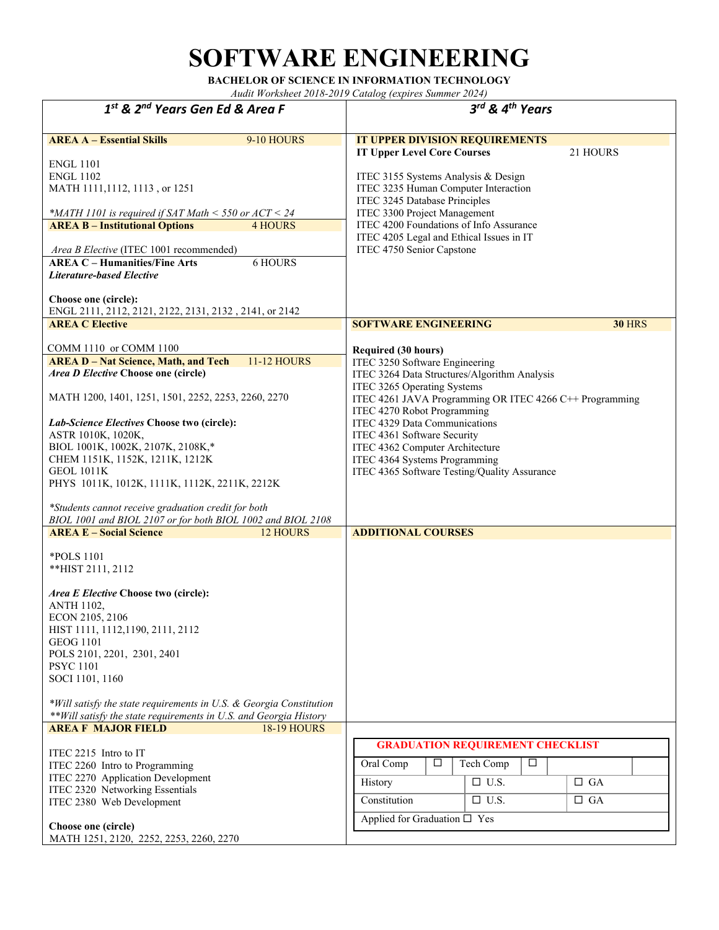# **SOFTWARE ENGINEERING**

**BACHELOR OF SCIENCE IN INFORMATION TECHNOLOGY** 

| 1st & 2 <sup>nd</sup> Years Gen Ed & Area F                                                                                                                                                                                                                                                                                                                                                                                                                                                                                                                        | 3rd & 4 <sup>th</sup> Years                                                                                                                                                                                                                                                                                                                                                                                                                                               |  |
|--------------------------------------------------------------------------------------------------------------------------------------------------------------------------------------------------------------------------------------------------------------------------------------------------------------------------------------------------------------------------------------------------------------------------------------------------------------------------------------------------------------------------------------------------------------------|---------------------------------------------------------------------------------------------------------------------------------------------------------------------------------------------------------------------------------------------------------------------------------------------------------------------------------------------------------------------------------------------------------------------------------------------------------------------------|--|
| <b>AREA A - Essential Skills</b><br>9-10 HOURS<br><b>ENGL 1101</b><br><b>ENGL 1102</b><br>MATH 1111, 1112, 1113, or 1251<br>*MATH 1101 is required if SAT Math $\le$ 550 or ACT $\le$ 24<br><b>AREA B - Institutional Options</b><br><b>4 HOURS</b><br>Area B Elective (ITEC 1001 recommended)<br><b>AREA C - Humanities/Fine Arts</b><br>6 HOURS<br><b>Literature-based Elective</b><br>Choose one (circle):<br>ENGL 2111, 2112, 2121, 2122, 2131, 2132, 2141, or 2142                                                                                            | IT UPPER DIVISION REQUIREMENTS<br><b>IT Upper Level Core Courses</b><br>21 HOURS<br>ITEC 3155 Systems Analysis & Design<br>ITEC 3235 Human Computer Interaction<br>ITEC 3245 Database Principles<br>ITEC 3300 Project Management<br>ITEC 4200 Foundations of Info Assurance<br>ITEC 4205 Legal and Ethical Issues in IT<br>ITEC 4750 Senior Capstone                                                                                                                      |  |
| <b>AREA C Elective</b><br>COMM 1110 or COMM 1100<br><b>AREA D - Nat Science, Math, and Tech</b><br><b>11-12 HOURS</b><br><i>Area D Elective</i> Choose one (circle)<br>MATH 1200, 1401, 1251, 1501, 2252, 2253, 2260, 2270<br>Lab-Science Electives Choose two (circle):<br>ASTR 1010K, 1020K,<br>BIOL 1001K, 1002K, 2107K, 2108K,*<br>CHEM 1151K, 1152K, 1211K, 1212K<br><b>GEOL 1011K</b><br>PHYS 1011K, 1012K, 1111K, 1112K, 2211K, 2212K<br>*Students cannot receive graduation credit for both<br>BIOL 1001 and BIOL 2107 or for both BIOL 1002 and BIOL 2108 | <b>SOFTWARE ENGINEERING</b><br><b>30 HRS</b><br><b>Required (30 hours)</b><br>ITEC 3250 Software Engineering<br>ITEC 3264 Data Structures/Algorithm Analysis<br>ITEC 3265 Operating Systems<br>ITEC 4261 JAVA Programming OR ITEC 4266 C++ Programming<br>ITEC 4270 Robot Programming<br>ITEC 4329 Data Communications<br>ITEC 4361 Software Security<br>ITEC 4362 Computer Architecture<br>ITEC 4364 Systems Programming<br>ITEC 4365 Software Testing/Quality Assurance |  |
| <b>AREA E - Social Science</b><br><b>12 HOURS</b><br>*POLS 1101<br>**HIST 2111, 2112<br>Area E Elective Choose two (circle):<br><b>ANTH 1102,</b><br>ECON 2105, 2106<br>HIST 1111, 1112, 1190, 2111, 2112<br><b>GEOG 1101</b><br>POLS 2101, 2201, 2301, 2401<br><b>PSYC 1101</b><br>SOCI 1101, 1160<br>*Will satisfy the state requirements in U.S. & Georgia Constitution<br>** Will satisfy the state requirements in U.S. and Georgia History<br><b>AREA F MAJOR FIELD</b><br><b>18-19 HOURS</b>                                                                | <b>ADDITIONAL COURSES</b>                                                                                                                                                                                                                                                                                                                                                                                                                                                 |  |
| ITEC 2215 Intro to IT<br>ITEC 2260 Intro to Programming<br>ITEC 2270 Application Development<br>ITEC 2320 Networking Essentials<br>ITEC 2380 Web Development<br>Choose one (circle)<br>MATH 1251, 2120, 2252, 2253, 2260, 2270                                                                                                                                                                                                                                                                                                                                     | <b>GRADUATION REQUIREMENT CHECKLIST</b><br>Oral Comp<br>Tech Comp<br>□<br>□<br>$\Box$ U.S.<br>History<br>$\Box$ GA<br>$\Box$ U.S.<br>Constitution<br>$\Box$ GA<br>Applied for Graduation □ Yes                                                                                                                                                                                                                                                                            |  |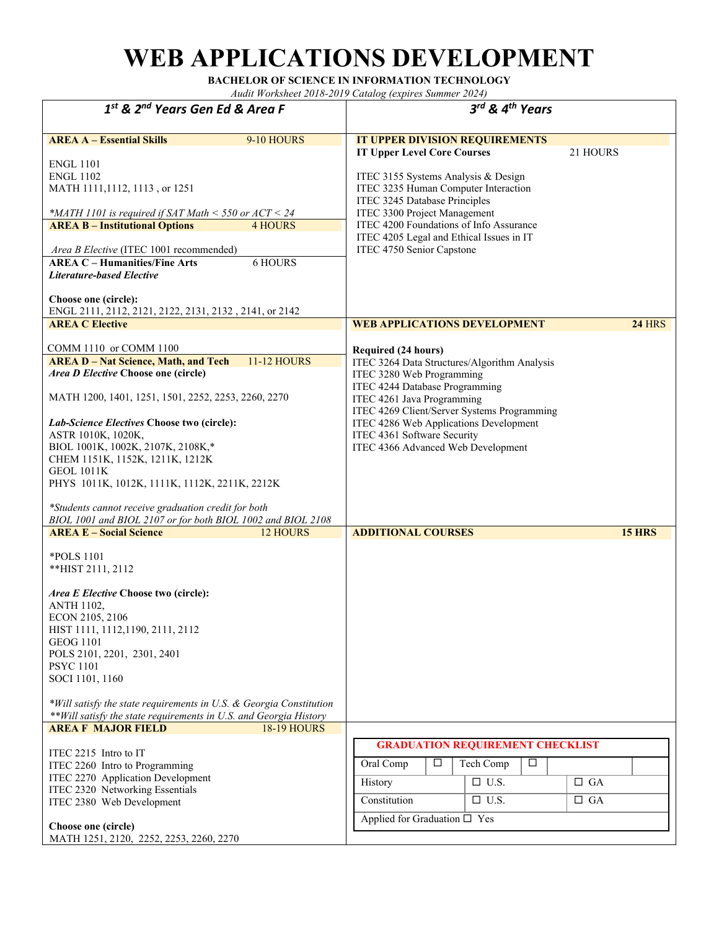# **WEB APPLICATIONS DEVELOPMENT**

**BACHELOR OF SCIENCE IN INFORMATION TECHNOLOGY** 

| $1st$ & $2nd$ Years Gen Ed & Area F                                                                                                                                                                                                                                                                                                                                                                                                                                                                                               | 3rd & 4 <sup>th</sup> Years                                                                                                                                                                                                                                                                                                                          |
|-----------------------------------------------------------------------------------------------------------------------------------------------------------------------------------------------------------------------------------------------------------------------------------------------------------------------------------------------------------------------------------------------------------------------------------------------------------------------------------------------------------------------------------|------------------------------------------------------------------------------------------------------------------------------------------------------------------------------------------------------------------------------------------------------------------------------------------------------------------------------------------------------|
| <b>AREA A - Essential Skills</b><br>9-10 HOURS<br><b>ENGL 1101</b><br><b>ENGL 1102</b><br>MATH 1111, 1112, 1113, or 1251<br>*MATH 1101 is required if SAT Math $<$ 550 or ACT $<$ 24<br><b>AREA B - Institutional Options</b><br><b>4 HOURS</b><br>Area B Elective (ITEC 1001 recommended)<br><b>AREA C - Humanities/Fine Arts</b><br><b>6 HOURS</b><br>Literature-based Elective<br>Choose one (circle):                                                                                                                         | IT UPPER DIVISION REQUIREMENTS<br><b>IT Upper Level Core Courses</b><br>21 HOURS<br>ITEC 3155 Systems Analysis & Design<br>ITEC 3235 Human Computer Interaction<br>ITEC 3245 Database Principles<br>ITEC 3300 Project Management<br>ITEC 4200 Foundations of Info Assurance<br>ITEC 4205 Legal and Ethical Issues in IT<br>ITEC 4750 Senior Capstone |
| ENGL 2111, 2112, 2121, 2122, 2131, 2132, 2141, or 2142<br><b>AREA C Elective</b>                                                                                                                                                                                                                                                                                                                                                                                                                                                  | <b>WEB APPLICATIONS DEVELOPMENT</b><br><b>24 HRS</b>                                                                                                                                                                                                                                                                                                 |
| COMM 1110 or COMM 1100<br><b>AREA D - Nat Science, Math, and Tech</b><br><b>11-12 HOURS</b><br>Area D Elective Choose one (circle)<br>MATH 1200, 1401, 1251, 1501, 2252, 2253, 2260, 2270<br>Lab-Science Electives Choose two (circle):<br>ASTR 1010K, 1020K,<br>BIOL 1001K, 1002K, 2107K, 2108K,*<br>CHEM 1151K, 1152K, 1211K, 1212K<br><b>GEOL 1011K</b><br>PHYS 1011K, 1012K, 1111K, 1112K, 2211K, 2212K<br>*Students cannot receive graduation credit for both<br>BIOL 1001 and BIOL 2107 or for both BIOL 1002 and BIOL 2108 | <b>Required (24 hours)</b><br>ITEC 3264 Data Structures/Algorithm Analysis<br>ITEC 3280 Web Programming<br>ITEC 4244 Database Programming<br>ITEC 4261 Java Programming<br>ITEC 4269 Client/Server Systems Programming<br>ITEC 4286 Web Applications Development<br>ITEC 4361 Software Security<br>ITEC 4366 Advanced Web Development                |
| <b>AREA E - Social Science</b><br>12 HOURS                                                                                                                                                                                                                                                                                                                                                                                                                                                                                        | <b>ADDITIONAL COURSES</b><br><b>15 HRS</b>                                                                                                                                                                                                                                                                                                           |
| *POLS 1101<br>**HIST 2111, 2112<br>Area E Elective Choose two (circle):<br><b>ANTH 1102,</b><br>ECON 2105, 2106<br>HIST 1111, 1112, 1190, 2111, 2112<br><b>GEOG 1101</b><br>POLS 2101, 2201, 2301, 2401<br><b>PSYC 1101</b><br>SOCI 1101, 1160<br>*Will satisfy the state requirements in U.S. & Georgia Constitution<br>** Will satisfy the state requirements in U.S. and Georgia History                                                                                                                                       |                                                                                                                                                                                                                                                                                                                                                      |
| <b>18-19 HOURS</b><br><b>AREA F MAJOR FIELD</b>                                                                                                                                                                                                                                                                                                                                                                                                                                                                                   |                                                                                                                                                                                                                                                                                                                                                      |
| ITEC 2215 Intro to IT<br>ITEC 2260 Intro to Programming<br>ITEC 2270 Application Development<br>ITEC 2320 Networking Essentials<br>ITEC 2380 Web Development<br>Choose one (circle)                                                                                                                                                                                                                                                                                                                                               | <b>GRADUATION REQUIREMENT CHECKLIST</b><br>Oral Comp<br>□<br>Tech Comp<br>□<br>$\Box$ U.S.<br>History<br>$\Box$ GA<br>Constitution<br>$\Box$ U.S.<br>$\Box$ GA<br>Applied for Graduation □ Yes                                                                                                                                                       |
| MATH 1251, 2120, 2252, 2253, 2260, 2270                                                                                                                                                                                                                                                                                                                                                                                                                                                                                           |                                                                                                                                                                                                                                                                                                                                                      |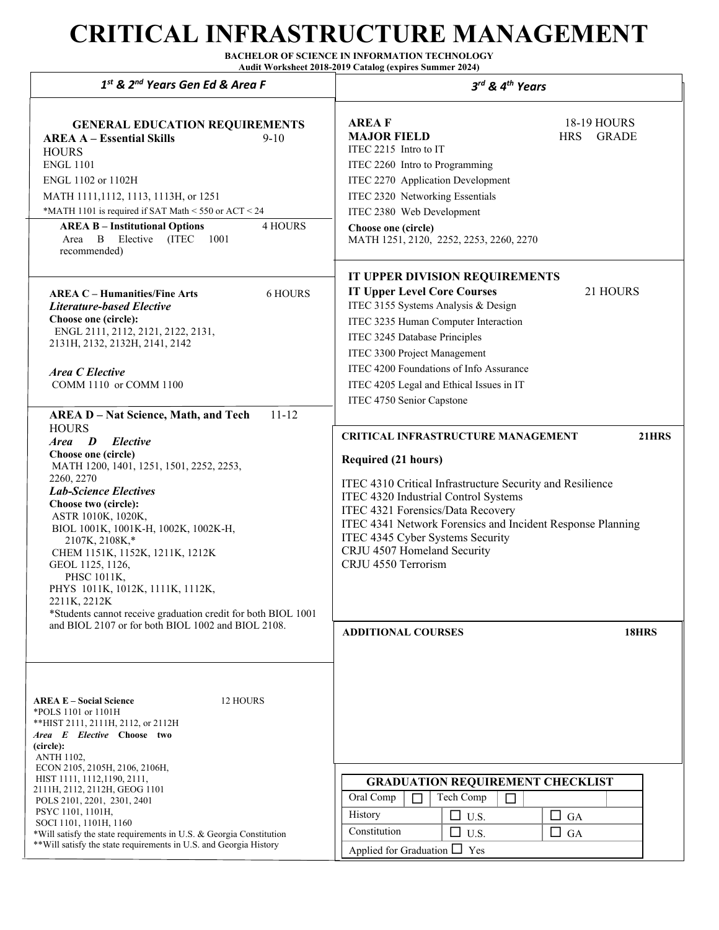## **CRITICAL INFRASTRUCTURE MANAGEMENT**

**BACHELOR OF SCIENCE IN INFORMATION TECHNOLOGY Audit Worksheet 2018-2019 Catalog (expires Summer 2024)**

| 1st & 2 <sup>nd</sup> Years Gen Ed & Area F                                                                                                                                                                                                                                                                                                                                                                                                                                                                  | 3rd & 4th Years                                                                                                                                                                                                                                                                                                                                                                           |
|--------------------------------------------------------------------------------------------------------------------------------------------------------------------------------------------------------------------------------------------------------------------------------------------------------------------------------------------------------------------------------------------------------------------------------------------------------------------------------------------------------------|-------------------------------------------------------------------------------------------------------------------------------------------------------------------------------------------------------------------------------------------------------------------------------------------------------------------------------------------------------------------------------------------|
| <b>GENERAL EDUCATION REQUIREMENTS</b><br><b>AREA A - Essential Skills</b><br>$9 - 10$<br><b>HOURS</b><br><b>ENGL 1101</b><br>ENGL 1102 or 1102H<br>MATH 1111,1112, 1113, 1113H, or 1251<br>*MATH 1101 is required if SAT Math < 550 or ACT < 24<br><b>4 HOURS</b><br><b>AREA B - Institutional Options</b><br>Area B Elective<br>(ITEC<br>1001<br>recommended)                                                                                                                                               | <b>AREAF</b><br>18-19 HOURS<br><b>MAJOR FIELD</b><br><b>HRS</b><br><b>GRADE</b><br>ITEC 2215 Intro to IT<br>ITEC 2260 Intro to Programming<br>ITEC 2270 Application Development<br>ITEC 2320 Networking Essentials<br>ITEC 2380 Web Development<br>Choose one (circle)<br>MATH 1251, 2120, 2252, 2253, 2260, 2270                                                                         |
| <b>AREA C - Humanities/Fine Arts</b><br>6 HOURS<br><b>Literature-based Elective</b><br>Choose one (circle):<br>ENGL 2111, 2112, 2121, 2122, 2131,<br>2131H, 2132, 2132H, 2141, 2142<br><b>Area C Elective</b><br>COMM 1110 or COMM 1100<br>$11 - 12$<br><b>AREA D - Nat Science, Math, and Tech</b>                                                                                                                                                                                                          | IT UPPER DIVISION REQUIREMENTS<br><b>IT Upper Level Core Courses</b><br>21 HOURS<br>ITEC 3155 Systems Analysis & Design<br>ITEC 3235 Human Computer Interaction<br>ITEC 3245 Database Principles<br>ITEC 3300 Project Management<br>ITEC 4200 Foundations of Info Assurance<br>ITEC 4205 Legal and Ethical Issues in IT<br>ITEC 4750 Senior Capstone                                      |
| <b>HOURS</b><br>Elective<br>Area D<br>Choose one (circle)<br>MATH 1200, 1401, 1251, 1501, 2252, 2253,<br>2260, 2270<br><b>Lab-Science Electives</b><br>Choose two (circle):<br>ASTR 1010K, 1020K,<br>BIOL 1001K, 1001K-H, 1002K, 1002K-H,<br>2107K, 2108K,*<br>CHEM 1151K, 1152K, 1211K, 1212K<br>GEOL 1125, 1126,<br>PHSC 1011K,<br>PHYS 1011K, 1012K, 1111K, 1112K,<br>2211K, 2212K<br>*Students cannot receive graduation credit for both BIOL 1001<br>and BIOL 2107 or for both BIOL 1002 and BIOL 2108. | <b>21HRS</b><br><b>CRITICAL INFRASTRUCTURE MANAGEMENT</b><br><b>Required (21 hours)</b><br>ITEC 4310 Critical Infrastructure Security and Resilience<br>ITEC 4320 Industrial Control Systems<br>ITEC 4321 Forensics/Data Recovery<br>ITEC 4341 Network Forensics and Incident Response Planning<br>ITEC 4345 Cyber Systems Security<br>CRJU 4507 Homeland Security<br>CRJU 4550 Terrorism |
| <b>AREA E – Social Science</b><br>12 HOURS<br>*POLS 1101 or 1101H<br>** HIST 2111, 2111H, 2112, or 2112H<br>Area E Elective Choose two<br>(circle):<br><b>ANTH 1102,</b><br>ECON 2105, 2105H, 2106, 2106H,<br>HIST 1111, 1112, 1190, 2111,<br>2111H, 2112, 2112H, GEOG 1101<br>POLS 2101, 2201, 2301, 2401<br>PSYC 1101, 1101H,<br>SOCI 1101, 1101H, 1160<br>*Will satisfy the state requirements in U.S. & Georgia Constitution<br>** Will satisfy the state requirements in U.S. and Georgia History       | <b>18HRS</b><br><b>ADDITIONAL COURSES</b><br><b>GRADUATION REQUIREMENT CHECKLIST</b><br>Oral Comp<br>Tech Comp<br>$\Box$<br>$\Box$<br>History<br>$\Box$ U.S.<br>$\Box$ GA<br>Constitution<br>$\Box$<br>GA<br>U.S.<br>Applied for Graduation $\Box$ Yes                                                                                                                                    |